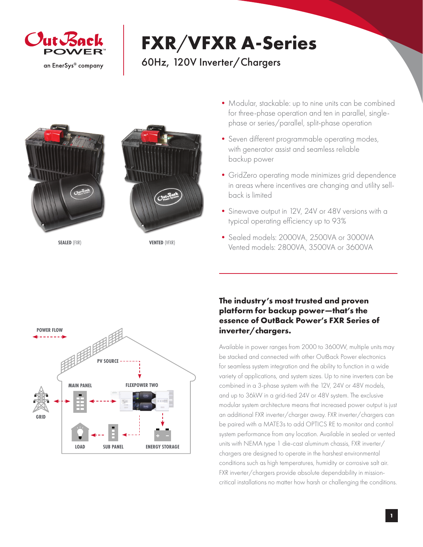

## **FXR**/**VFXR A-Series**

## 60Hz, 120V Inverter/Chargers





**SEALED** (FXR) **VENTED** (VFXR)

- Modular, stackable: up to nine units can be combined for three-phase operation and ten in parallel, singlephase or series/parallel, split-phase operation
- Seven different programmable operating modes, with generator assist and seamless reliable backup power
- •GridZero operating mode minimizes grid dependence in areas where incentives are changing and utility sellback is limited
- •Sinewave output in 12V, 24V or 48V versions with a typical operating efficiency up to 93%
- •Sealed models: 2000VA, 2500VA or 3000VA Vented models: 2800VA, 3500VA or 3600VA



## **The industry's most trusted and proven platform for backup power—that's the essence of OutBack Power's FXR Series of inverter/chargers.**

Available in power ranges from 2000 to 3600W, multiple units may be stacked and connected with other OutBack Power electronics for seamless system integration and the ability to function in a wide variety of applications, and system sizes. Up to nine inverters can be combined in a 3-phase system with the 12V, 24V or 48V models, and up to 36kW in a grid-tied 24V or 48V system. The exclusive modular system architecture means that increased power output is just an additional FXR inverter/charger away. FXR inverter/chargers can be paired with a MATE3s to add OPTICS RE to monitor and control system performance from any location. Available in sealed or vented units with NEMA type 1 die-cast aluminum chassis, FXR inverter/ chargers are designed to operate in the harshest environmental conditions such as high temperatures, humidity or corrosive salt air. FXR inverter/chargers provide absolute dependability in missioncritical installations no matter how harsh or challenging the conditions.